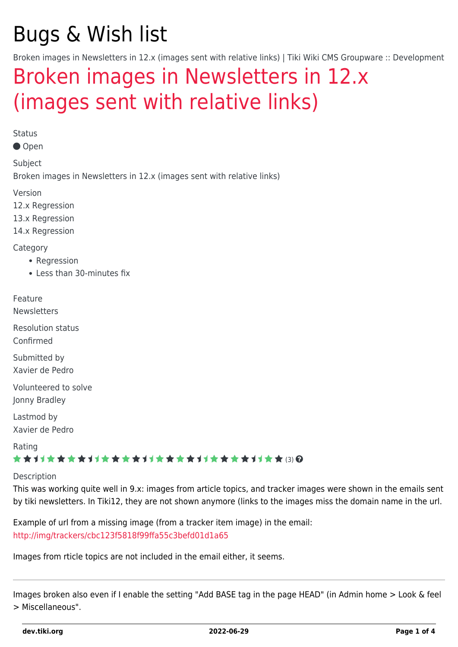# Bugs & Wish list

Broken images in Newsletters in 12.x (images sent with relative links) | Tiki Wiki CMS Groupware :: Development

# [Broken images in Newsletters in 12.x](https://dev.tiki.org/item5162-Broken-images-in-Newsletters-in-12-x-images-sent-with-relative-links) [\(images sent with relative links\)](https://dev.tiki.org/item5162-Broken-images-in-Newsletters-in-12-x-images-sent-with-relative-links)

Status

Open

Subject

Broken images in Newsletters in 12.x (images sent with relative links)

Version

12.x Regression

13.x Regression

14.x Regression

Category

- Regression
- Less than 30-minutes fix

Feature

**Newsletters** 

Resolution status Confirmed

Submitted by Xavier de Pedro

Volunteered to solve Jonny Bradley

Lastmod by Xavier de Pedro

Rating

### \*\*\*\*\*\*\*\*\*\*\*\*\*\*\*\*\*\*\*\*\*\*\*\*\*\*\*\*\*\*

#### Description

This was working quite well in 9.x: images from article topics, and tracker images were shown in the emails sent by tiki newsletters. In Tiki12, they are not shown anymore (links to the images miss the domain name in the url.

Example of url from a missing image (from a tracker item image) in the email: [http://img/trackers/cbc123f5818f99ffa55c3befd01d1a65](#page--1-0)

Images from rticle topics are not included in the email either, it seems.

Images broken also even if I enable the setting "Add BASE tag in the page HEAD" (in Admin home > Look & feel > Miscellaneous".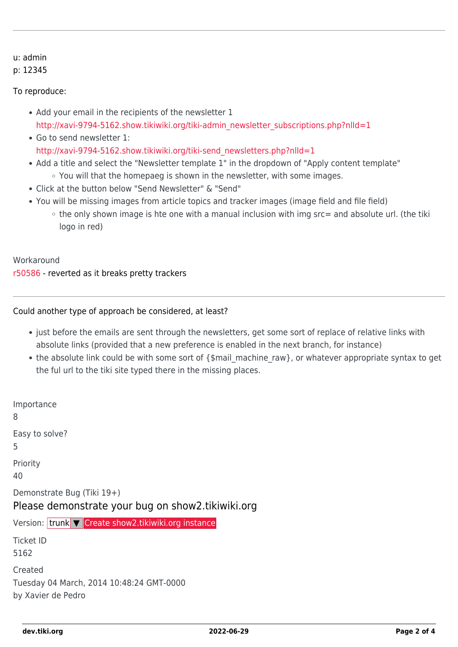#### u: admin

#### p: 12345

#### To reproduce:

- Add your email in the recipients of the newsletter 1 [http://xavi-9794-5162.show.tikiwiki.org/tiki-admin\\_newsletter\\_subscriptions.php?nlId=1](http://xavi-9794-5162.show.tikiwiki.org/tiki-admin_newsletter_subscriptions.php?nlId=1)
- Go to send newsletter 1: [http://xavi-9794-5162.show.tikiwiki.org/tiki-send\\_newsletters.php?nlId=1](http://xavi-9794-5162.show.tikiwiki.org/tiki-send_newsletters.php?nlId=1)
- Add a title and select the "Newsletter template 1" in the dropdown of "Apply content template" You will that the homepaeg is shown in the newsletter, with some images.
- Click at the button below "Send Newsletter" & "Send"
- You will be missing images from article topics and tracker images (image field and file field)
	- $\circ$  the only shown image is hte one with a manual inclusion with img src= and absolute url. (the tiki logo in red)

#### Workaround

[r50586](http://sourceforge.net/p/tikiwiki/code/50586) - reverted as it breaks pretty trackers

#### Could another type of approach be considered, at least?

- just before the emails are sent through the newsletters, get some sort of replace of relative links with absolute links (provided that a new preference is enabled in the next branch, for instance)
- the absolute link could be with some sort of {\$mail\_machine\_raw}, or whatever appropriate syntax to get the ful url to the tiki site typed there in the missing places.

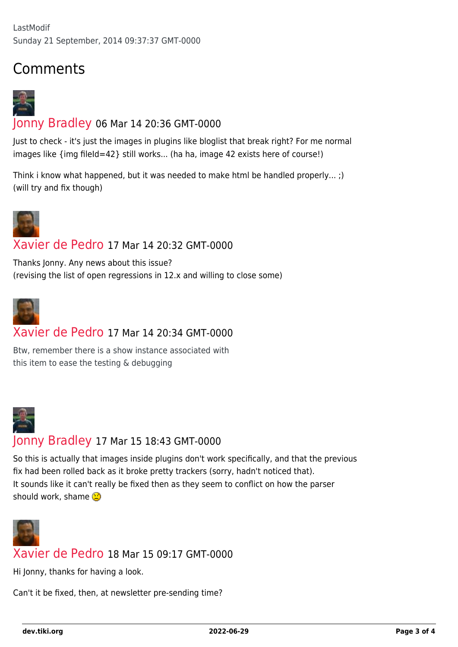## Comments



## [Jonny Bradley](https://dev.tiki.org/user8515) 06 Mar 14 20:36 GMT-0000

Just to check - it's just the images in plugins like bloglist that break right? For me normal images like {img fileId=42} still works... (ha ha, image 42 exists here of course!)

Think i know what happened, but it was needed to make html be handled properly... ;) (will try and fix though)



### [Xavier de Pedro](https://dev.tiki.org/user9794) 17 Mar 14 20:32 GMT-0000

Thanks Jonny. Any news about this issue? (revising the list of open regressions in 12.x and willing to close some)



## [Xavier de Pedro](https://dev.tiki.org/user9794) 17 Mar 14 20:34 GMT-0000

Btw, remember there is a show instance associated with this item to ease the testing & debugging



So this is actually that images inside plugins don't work specifically, and that the previous fix had been rolled back as it broke pretty trackers (sorry, hadn't noticed that). It sounds like it can't really be fixed then as they seem to conflict on how the parser should work, shame  $\mathbb{C}$ 



## [Xavier de Pedro](https://dev.tiki.org/user9794) 18 Mar 15 09:17 GMT-0000

Hi Jonny, thanks for having a look.

Can't it be fixed, then, at newsletter pre-sending time?